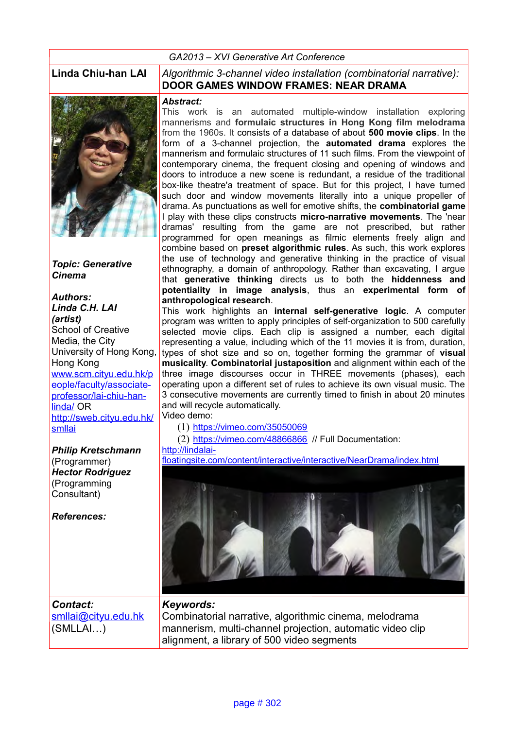#### *GA2013 – XVI Generative Art Conference*



*Topic: Generative Cinema*

#### *Authors: Linda C.H. LAI (artist)* School of Creative Media, the City University of Hong Kong, Hong Kong [www.scm.cityu.edu.hk/p](http://www.scm.cityu.edu.hk/people/faculty/associate-professor/lai-chiu-han-linda/) [eople/faculty/associate](http://www.scm.cityu.edu.hk/people/faculty/associate-professor/lai-chiu-han-linda/)professor/lai-chiu-han[linda/](http://www.scm.cityu.edu.hk/people/faculty/associate-professor/lai-chiu-han-linda/) OR [http://sweb.cityu.edu.hk/](http://sweb.cityu.edu.hk/smllai) [smllai](http://sweb.cityu.edu.hk/smllai)

#### *Philip Kretschmann* (Programmer) *Hector Rodriguez* (Programming Consultant)

*References:*

#### **Linda Chiu-han LAI** *Algorithmic 3-channel video installation (combinatorial narrative):*  **DOOR GAMES WINDOW FRAMES: NEAR DRAMA**

#### *Abstract:*

This work is an automated multiple-window installation exploring mannerisms and **formulaic structures in Hong Kong film melodrama** from the 1960s. It consists of a database of about **500 movie clips**. In the form of a 3-channel projection, the **automated drama** explores the mannerism and formulaic structures of 11 such films. From the viewpoint of contemporary cinema, the frequent closing and opening of windows and doors to introduce a new scene is redundant, a residue of the traditional box-like theatre'a treatment of space. But for this project, I have turned such door and window movements literally into a unique propeller of drama. As punctuations as well for emotive shifts, the **combinatorial game** I play with these clips constructs **micro-narrative movements**. The 'near dramas' resulting from the game are not prescribed, but rather programmed for open meanings as filmic elements freely align and combine based on **preset algorithmic rules**. As such, this work explores the use of technology and generative thinking in the practice of visual ethnography, a domain of anthropology. Rather than excavating, I argue that **generative thinking** directs us to both the **hiddenness and potentiality in image analysis**, thus an **experimental form of anthropological research**.

This work highlights an **internal self-generative logic**. A computer program was written to apply principles of self-organization to 500 carefully selected movie clips. Each clip is assigned a number, each digital representing a value, including which of the 11 movies it is from, duration, types of shot size and so on, together forming the grammar of **visual musicality**. **Combinatorial justaposition** and alignment within each of the three image discourses occur in THREE movements (phases), each operating upon a different set of rules to achieve its own visual music. The 3 consecutive movements are currently timed to finish in about 20 minutes and will recycle automatically.

Video demo:

(1) <https://vimeo.com/35050069>

(2) <https://vimeo.com/48866866>// Full Documentation: [http://lindalai-](http://lindalai-floatingsite.com/content/interactive/interactive/NearDrama/index.html)

[floatingsite.com/content/interactive/interactive/NearDrama/index.html](http://lindalai-floatingsite.com/content/interactive/interactive/NearDrama/index.html)



*Contact:*  [smllai@cityu.edu.hk](mailto:smllai@cityu.edu.hk) (SMLLAI…)

### *Keywords:*

Combinatorial narrative, algorithmic cinema, melodrama mannerism, multi-channel projection, automatic video clip alignment, a library of 500 video segments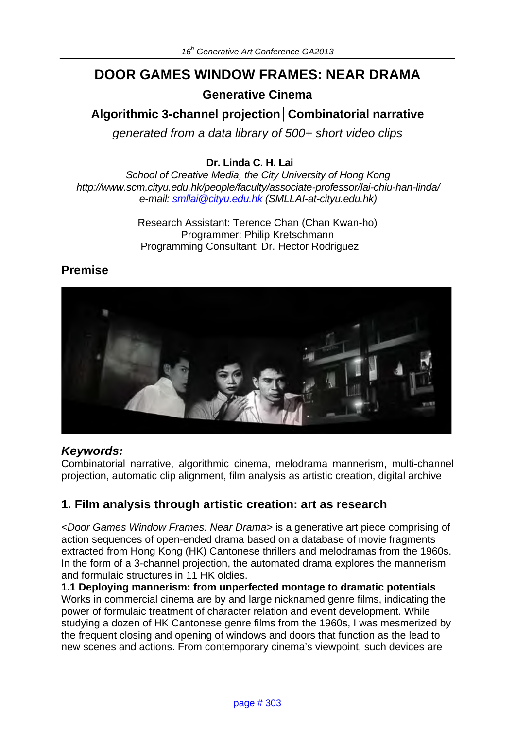# **DOOR GAMES WINDOW FRAMES: NEAR DRAMA**

**Generative Cinema**

## **Algorithmic 3-channel projection***│***Combinatorial narrative**

*generated from a data library of 500+ short video clips*

### **Dr. Linda C. H. Lai**

*School of Creative Media, the City University of Hong Kong http://www.scm.cityu.edu.hk/people/faculty/associate-professor/lai-chiu-han-linda/ e-mail: smllai@cityu.edu.hk (SMLLAI-at-cityu.edu.hk)*

> Research Assistant: Terence Chan (Chan Kwan-ho) Programmer: Philip Kretschmann Programming Consultant: Dr. Hector Rodriguez

## **Premise**



## *Keywords:*

Combinatorial narrative, algorithmic cinema, melodrama mannerism, multi-channel projection, automatic clip alignment, film analysis as artistic creation, digital archive

## **1. Film analysis through artistic creation: art as research**

*<Door Games Window Frames: Near Drama>* is a generative art piece comprising of action sequences of open-ended drama based on a database of movie fragments extracted from Hong Kong (HK) Cantonese thrillers and melodramas from the 1960s. In the form of a 3-channel projection, the automated drama explores the mannerism and formulaic structures in 11 HK oldies.

**1.1 Deploying mannerism: from unperfected montage to dramatic potentials**  Works in commercial cinema are by and large nicknamed genre films, indicating the power of formulaic treatment of character relation and event development. While studying a dozen of HK Cantonese genre films from the 1960s, I was mesmerized by the frequent closing and opening of windows and doors that function as the lead to new scenes and actions. From contemporary cinema's viewpoint, such devices are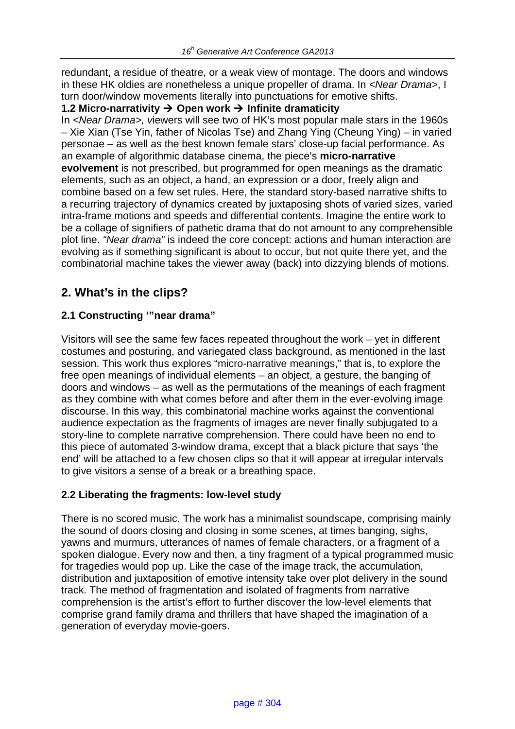redundant, a residue of theatre, or a weak view of montage. The doors and windows in these HK oldies are nonetheless a unique propeller of drama. In *<Near Drama>*, I turn door/window movements literally into punctuations for emotive shifts.

#### **1.2 Micro-narrativity** à **Open work** à **Infinite dramaticity**

In *<Near Drama>, v*iewers will see two of HK's most popular male stars in the 1960s – Xie Xian (Tse Yin, father of Nicolas Tse) and Zhang Ying (Cheung Ying) – in varied personae – as well as the best known female stars' close-up facial performance. As an example of algorithmic database cinema, the piece's **micro-narrative evolvement** is not prescribed, but programmed for open meanings as the dramatic elements, such as an object, a hand, an expression or a door, freely align and combine based on a few set rules. Here, the standard story-based narrative shifts to a recurring trajectory of dynamics created by juxtaposing shots of varied sizes, varied intra-frame motions and speeds and differential contents. Imagine the entire work to be a collage of signifiers of pathetic drama that do not amount to any comprehensible plot line. *"Near drama"* is indeed the core concept: actions and human interaction are evolving as if something significant is about to occur, but not quite there yet, and the combinatorial machine takes the viewer away (back) into dizzying blends of motions.

## **2. What's in the clips?**

### **2.1 Constructing '"near drama"**

Visitors will see the same few faces repeated throughout the work – yet in different costumes and posturing, and variegated class background, as mentioned in the last session. This work thus explores "micro-narrative meanings," that is, to explore the free open meanings of individual elements – an object, a gesture, the banging of doors and windows – as well as the permutations of the meanings of each fragment as they combine with what comes before and after them in the ever-evolving image discourse. In this way, this combinatorial machine works against the conventional audience expectation as the fragments of images are never finally subjugated to a story-line to complete narrative comprehension. There could have been no end to this piece of automated 3-window drama, except that a black picture that says 'the end' will be attached to a few chosen clips so that it will appear at irregular intervals to give visitors a sense of a break or a breathing space.

#### **2.2 Liberating the fragments: low-level study**

There is no scored music. The work has a minimalist soundscape, comprising mainly the sound of doors closing and closing in some scenes, at times banging, sighs, yawns and murmurs, utterances of names of female characters, or a fragment of a spoken dialogue. Every now and then, a tiny fragment of a typical programmed music for tragedies would pop up. Like the case of the image track, the accumulation, distribution and juxtaposition of emotive intensity take over plot delivery in the sound track. The method of fragmentation and isolated of fragments from narrative comprehension is the artist's effort to further discover the low-level elements that comprise grand family drama and thrillers that have shaped the imagination of a generation of everyday movie-goers.